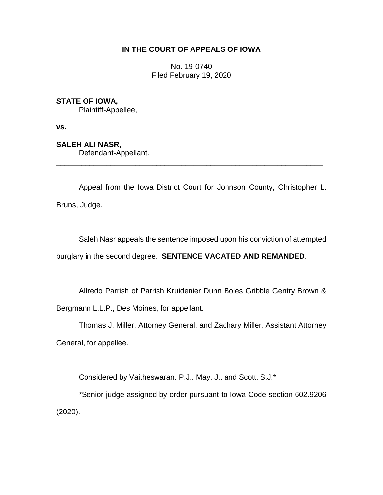## **IN THE COURT OF APPEALS OF IOWA**

No. 19-0740 Filed February 19, 2020

## **STATE OF IOWA,**

Plaintiff-Appellee,

**vs.**

**SALEH ALI NASR,**

Defendant-Appellant.

Appeal from the Iowa District Court for Johnson County, Christopher L. Bruns, Judge.

\_\_\_\_\_\_\_\_\_\_\_\_\_\_\_\_\_\_\_\_\_\_\_\_\_\_\_\_\_\_\_\_\_\_\_\_\_\_\_\_\_\_\_\_\_\_\_\_\_\_\_\_\_\_\_\_\_\_\_\_\_\_\_\_

Saleh Nasr appeals the sentence imposed upon his conviction of attempted burglary in the second degree. **SENTENCE VACATED AND REMANDED**.

Alfredo Parrish of Parrish Kruidenier Dunn Boles Gribble Gentry Brown &

Bergmann L.L.P., Des Moines, for appellant.

Thomas J. Miller, Attorney General, and Zachary Miller, Assistant Attorney

General, for appellee.

Considered by Vaitheswaran, P.J., May, J., and Scott, S.J.\*

\*Senior judge assigned by order pursuant to Iowa Code section 602.9206 (2020).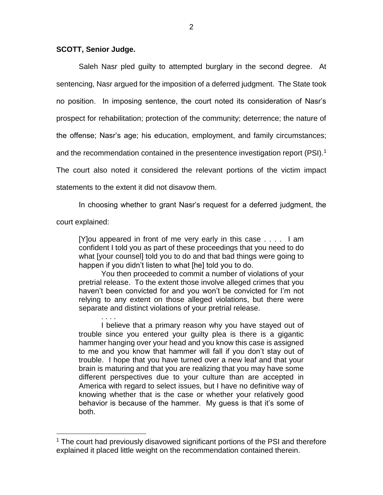## **SCOTT, Senior Judge.**

. . . .

 $\overline{a}$ 

Saleh Nasr pled guilty to attempted burglary in the second degree. At sentencing, Nasr argued for the imposition of a deferred judgment. The State took no position. In imposing sentence, the court noted its consideration of Nasr's prospect for rehabilitation; protection of the community; deterrence; the nature of the offense; Nasr's age; his education, employment, and family circumstances; and the recommendation contained in the presentence investigation report (PSI).<sup>1</sup> The court also noted it considered the relevant portions of the victim impact statements to the extent it did not disavow them.

In choosing whether to grant Nasr's request for a deferred judgment, the court explained:

[Y]ou appeared in front of me very early in this case . . . . I am confident I told you as part of these proceedings that you need to do what [your counsel] told you to do and that bad things were going to happen if you didn't listen to what [he] told you to do.

You then proceeded to commit a number of violations of your pretrial release. To the extent those involve alleged crimes that you haven't been convicted for and you won't be convicted for I'm not relying to any extent on those alleged violations, but there were separate and distinct violations of your pretrial release.

I believe that a primary reason why you have stayed out of trouble since you entered your guilty plea is there is a gigantic hammer hanging over your head and you know this case is assigned to me and you know that hammer will fall if you don't stay out of trouble. I hope that you have turned over a new leaf and that your brain is maturing and that you are realizing that you may have some different perspectives due to your culture than are accepted in America with regard to select issues, but I have no definitive way of knowing whether that is the case or whether your relatively good behavior is because of the hammer. My guess is that it's some of both.

<sup>&</sup>lt;sup>1</sup> The court had previously disavowed significant portions of the PSI and therefore explained it placed little weight on the recommendation contained therein.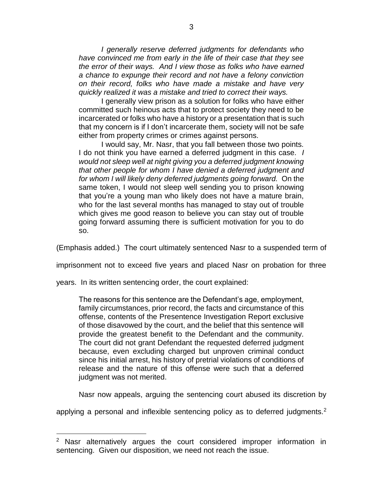*I generally reserve deferred judgments for defendants who have convinced me from early in the life of their case that they see the error of their ways. And I view those as folks who have earned a chance to expunge their record and not have a felony conviction on their record, folks who have made a mistake and have very quickly realized it was a mistake and tried to correct their ways.* 

I generally view prison as a solution for folks who have either committed such heinous acts that to protect society they need to be incarcerated or folks who have a history or a presentation that is such that my concern is if I don't incarcerate them, society will not be safe either from property crimes or crimes against persons.

I would say, Mr. Nasr, that you fall between those two points. I do not think you have earned a deferred judgment in this case*. I would not sleep well at night giving you a deferred judgment knowing that other people for whom I have denied a deferred judgment and for whom I will likely deny deferred judgments going forward.* On the same token, I would not sleep well sending you to prison knowing that you're a young man who likely does not have a mature brain, who for the last several months has managed to stay out of trouble which gives me good reason to believe you can stay out of trouble going forward assuming there is sufficient motivation for you to do so.

(Emphasis added.) The court ultimately sentenced Nasr to a suspended term of

imprisonment not to exceed five years and placed Nasr on probation for three

years. In its written sentencing order, the court explained:

 $\overline{a}$ 

The reasons for this sentence are the Defendant's age, employment, family circumstances, prior record, the facts and circumstance of this offense, contents of the Presentence Investigation Report exclusive of those disavowed by the court, and the belief that this sentence will provide the greatest benefit to the Defendant and the community. The court did not grant Defendant the requested deferred judgment because, even excluding charged but unproven criminal conduct since his initial arrest, his history of pretrial violations of conditions of release and the nature of this offense were such that a deferred judgment was not merited.

Nasr now appeals, arguing the sentencing court abused its discretion by

applying a personal and inflexible sentencing policy as to deferred judgments.<sup>2</sup>

<sup>&</sup>lt;sup>2</sup> Nasr alternatively argues the court considered improper information in sentencing. Given our disposition, we need not reach the issue.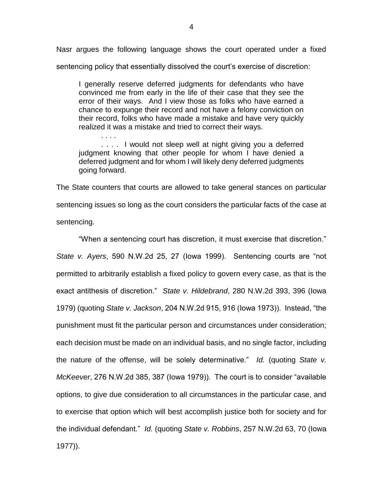Nasr argues the following language shows the court operated under a fixed sentencing policy that essentially dissolved the court's exercise of discretion:

I generally reserve deferred judgments for defendants who have convinced me from early in the life of their case that they see the error of their ways. And I view those as folks who have earned a chance to expunge their record and not have a felony conviction on their record, folks who have made a mistake and have very quickly realized it was a mistake and tried to correct their ways.

. . . . .... I would not sleep well at night giving you a deferred judgment knowing that other people for whom I have denied a deferred judgment and for whom I will likely deny deferred judgments going forward.

The State counters that courts are allowed to take general stances on particular sentencing issues so long as the court considers the particular facts of the case at sentencing.

"When a sentencing court has discretion, it must exercise that discretion." *State v. Ayers*, 590 N.W.2d 25, 27 (Iowa 1999). Sentencing courts are "not permitted to arbitrarily establish a fixed policy to govern every case, as that is the exact antithesis of discretion." *State v. Hildebrand*, 280 N.W.2d 393, 396 (Iowa 1979) (quoting *State v. Jackson*, 204 N.W.2d 915, 916 (Iowa 1973)). Instead, "the punishment must fit the particular person and circumstances under consideration; each decision must be made on an individual basis, and no single factor, including the nature of the offense, will be solely determinative." *Id.* (quoting *State v. McKeever*, 276 N.W.2d 385, 387 (Iowa 1979)). The court is to consider "available options, to give due consideration to all circumstances in the particular case, and to exercise that option which will best accomplish justice both for society and for the individual defendant." *Id.* (quoting *State v. Robbins*, 257 N.W.2d 63, 70 (Iowa 1977)).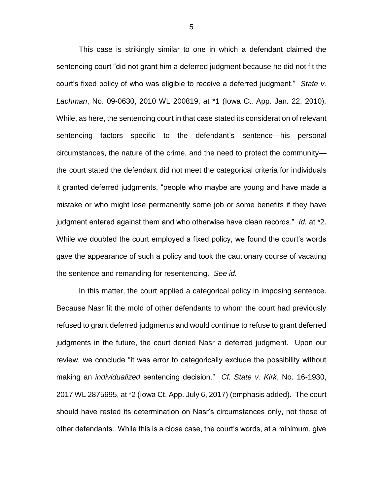This case is strikingly similar to one in which a defendant claimed the sentencing court "did not grant him a deferred judgment because he did not fit the court's fixed policy of who was eligible to receive a deferred judgment." *State v. Lachman*, No. 09-0630, 2010 WL 200819, at \*1 (Iowa Ct. App. Jan. 22, 2010). While, as here, the sentencing court in that case stated its consideration of relevant sentencing factors specific to the defendant's sentence—his personal circumstances, the nature of the crime, and the need to protect the community the court stated the defendant did not meet the categorical criteria for individuals it granted deferred judgments, "people who maybe are young and have made a mistake or who might lose permanently some job or some benefits if they have judgment entered against them and who otherwise have clean records." *Id.* at \*2. While we doubted the court employed a fixed policy, we found the court's words gave the appearance of such a policy and took the cautionary course of vacating the sentence and remanding for resentencing. *See id.*

In this matter, the court applied a categorical policy in imposing sentence. Because Nasr fit the mold of other defendants to whom the court had previously refused to grant deferred judgments and would continue to refuse to grant deferred judgments in the future, the court denied Nasr a deferred judgment. Upon our review, we conclude "it was error to categorically exclude the possibility without making an *individualized* sentencing decision." *Cf. State v. Kirk*, No. 16-1930, 2017 WL 2875695, at \*2 (Iowa Ct. App. July 6, 2017) (emphasis added). The court should have rested its determination on Nasr's circumstances only, not those of other defendants. While this is a close case, the court's words, at a minimum, give

5